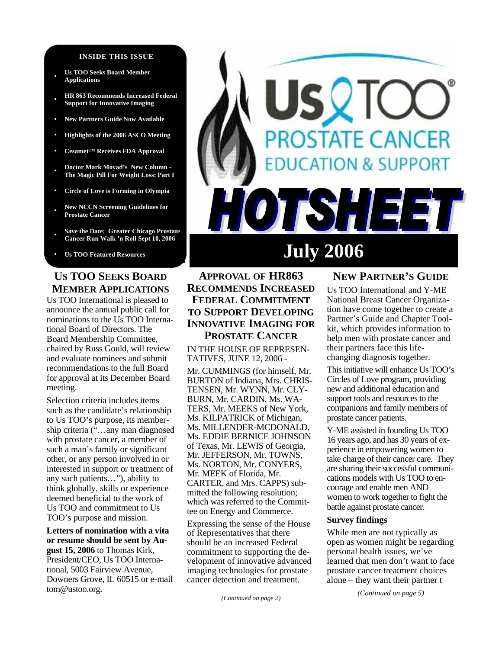#### **INSIDE THIS ISSUE**

- **Us TOO Seeks Board Member Applications**
- **• HR 863 Recommends Increased Federal Support for Innovative Imaging**
- **• New Partners Guide Now Available**
- **• Highlights of the 2006 ASCO Meeting**
- **• Cesamet™ Receives FDA Approval**
- **• Doctor Mark Moyad's New Column The Magic Pill For Weight Loss: Part I**
- **• Circle of Love is Forming in Olympia**
- **• New NCCN Screening Guidelines for Prostate Cancer**
- **• Save the Date: Greater Chicago Prostate Cancer Run Walk 'n Roll Sept 10, 2006**
- Us TOO Featured Resources **July 2006**

#### **US TOO SEEKS BOARD MEMBER APPLICATIONS**

Us TOO International is pleased to announce the annual public call for nominations to the Us TOO International Board of Directors. The Board Membership Committee, chaired by Russ Gould, will review and evaluate nominees and submit recommendations to the full Board for approval at its December Board meeting.

Selection criteria includes items such as the candidate's relationship to Us TOO's purpose, its membership criteria ("…any man diagnosed with prostate cancer, a member of such a man's family or significant other, or any person involved in or interested in support or treatment of any such patients…"), ability to think globally, skills or experience deemed beneficial to the work of Us TOO and commitment to Us TOO's purpose and mission.

**Letters of nomination with a vita or resume should be sent by August 15, 2006** to Thomas Kirk, President/CEO, Us TOO International, 5003 Fairview Avenue, Downers Grove, IL 60515 or e-mail tom@ustoo.org.

# **STATE CANCER DN & SUPPORT** HIE N

#### **APPROVAL OF HR863 RECOMMENDS INCREASED FEDERAL COMMITMENT TO SUPPORT DEVELOPING INNOVATIVE IMAGING FOR PROSTATE CANCER**

IN THE HOUSE OF REPRESEN-TATIVES, JUNE 12, 2006 -

Mr. CUMMINGS (for himself, Mr. BURTON of Indiana, Mrs. CHRIS-TENSEN, Mr. WYNN, Mr. CLY-BURN, Mr. CARDIN, Ms. WA-TERS, Mr. MEEKS of New York, Ms. KILPATRICK of Michigan, Ms. MILLENDER-MCDONALD, Ms. EDDIE BERNICE JOHNSON of Texas, Mr. LEWIS of Georgia, Mr. JEFFERSON, Mr. TOWNS, Ms. NORTON, Mr. CONYERS, Mr. MEEK of Florida, Mr. CARTER, and Mrs. CAPPS) submitted the following resolution; which was referred to the Committee on Energy and Commerce.

Expressing the sense of the House of Representatives that there should be an increased Federal commitment to supporting the development of innovative advanced imaging technologies for prostate cancer detection and treatment.

*(Continued on page 2)* 

#### **NEW PARTNER'S GUIDE**

Us TOO International and Y-ME National Breast Cancer Organization have come together to create a Partner's Guide and Chapter Toolkit, which provides information to help men with prostate cancer and their partners face this lifechanging diagnosis together.

This initiative will enhance Us TOO's Circles of Love program, providing new and additional education and support tools and resources to the companions and family members of prostate cancer patients.

Y-ME assisted in founding Us TOO 16 years ago, and has 30 years of experience in empowering women to take charge of their cancer care. They are sharing their successful communications models with Us TOO to encourage and enable men AND women to work together to fight the battle against prostate cancer.

#### **Survey findings**

While men are not typically as open as women might be regarding personal health issues, we've learned that men don't want to face prostate cancer treatment choices alone – they want their partner t

*(Continued on page 5)*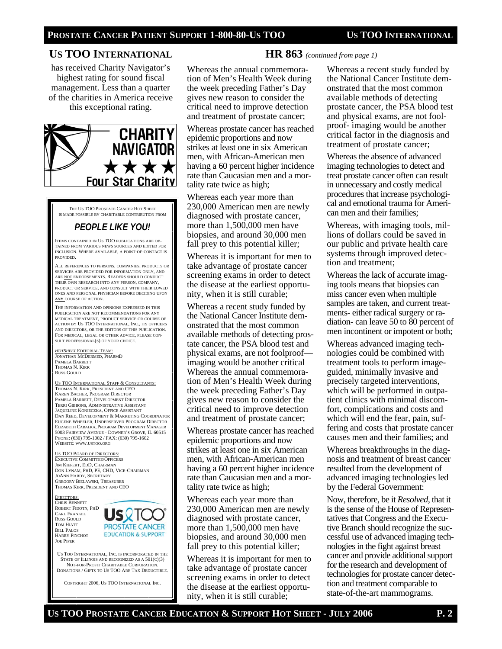#### **US TOO INTERNATIONAL**

has received Charity Navigator's highest rating for sound fiscal management. Less than a quarter of the charities in America receive this exceptional rating.



THE US TOO PROSTATE CANCER HOT SHEET IS MADE POSSIBLE BY CHARITABLE CONTRIBUTION FROM

## *PEOPLE LIKE YOU!*

ITEMS CONTAINED IN US TOO PUBLICATIONS ARE OB-TAINED FROM VARIOUS NEWS SOURCES AND EDITED FOR INCLUSION. WHERE AVAILABLE, A POINT-OF-CONTACT IS PROVIDED.

ALL REFERENCES TO PERSONS, COMPANIES, PRODUCTS OR SERVICES ARE PROVIDED FOR INFORMATION ONLY, AND ARE NOT ENDORSEMENTS. READERS SHOULD CONDUCT THEIR OWN RESEARCH INTO ANY PERSON, COMPANY, PRODUCT OR SERVICE, AND CONSULT WITH THEIR LOWED ONES AND PERSONAL PHYSICIAN BEFORE DECIDING UPON **ANY** COURSE OF ACTION.

THE INFORMATION AND OPINIONS EXPRESSED IN THIS PUBLICATION ARE NOT RECOMMENDATIONS FOR ANY MEDICAL TREATMENT, PRODUCT SERVICE OR COURSE OF ACTION BY US TOO INTERNATIONAL, INC., ITS OFFICERS AND DIRECTORS, OR THE EDITORS OF THIS PUBLICATION. FOR MEDICAL, LEGAL OR OTHER ADVICE, PLEASE CON-SULT PROFESSIONAL(S) OF YOUR CHOICE.

*HOTSHEET* EDITORIAL TEAM: JONATHAN MCDERMED, PHARMD PAMELA BARRETT THOMAS N. KIRK RUSS GOULD

US TOO INTERNATIONAL STAFF & CONSULTANTS: THOMAS N. KIRK, PRESIDENT AND CEO KAREN BACHER, PROGRAM DIRECTOR PAMELA BARRETT, DEVELOPMENT DIRECTOR TERRI GIBBONS, ADMINISTRATIVE ASSISTANT JAQUELINE KONIECZKA, OFFICE ASSISTANT DAN REED, DEVELOPMENT & MARKETING COORDINATOR EUGENE WHEELER, UNDERSERVED PROGRAM DIRECTOR ELIZABETH CABALKA, PROGRAM DEVELOPMENT MANAGER 5003 FAIRVIEW AVENUE - DOWNER'S GROVE, IL 60515 PHONE: (630) 795-1002 / FAX: (630) 795-1602 WEBSITE: WWW.USTOO.ORG

US TOO BOARD OF DIRECTORS EXECUTIVE COMMITTEE/OFFICERS JIM KIEFERT, EDD, CHAIRMAN DON LYNAM, PHD, PE, CHD, VICE-CHAIRMAN JOANN HARDY, SECRETARY GREGORY BIELAWSKI, TREASURER THOMAS KIRK, PRESIDENT AND CEO

RECTORS: CHRIS BENNETT ROBERT FIDOTN, PHD CARL FRANKEL RUSS GOULD TOM HIATT BILL PALOS HARRY PINCHOT JOE PIPER



US TOO INTERNATIONAL, INC. IS INCORPORATED IN THE STATE OF ILLINOIS AND RECOGNIZED AS A 501(C)(3) NOT-FOR-PROFIT CHARITABLE CORPORATION. DONATIONS / GIFTS TO US TOO ARE TAX DEDUCTIBLE.

COPYRIGHT 2006, US TOO INTERNATIONAL INC.

#### Whereas the annual commemoration of Men's Health Week during the week preceding Father's Day gives new reason to consider the critical need to improve detection and treatment of prostate cancer;

Whereas prostate cancer has reached epidemic proportions and now strikes at least one in six American men, with African-American men having a 60 percent higher incidence rate than Caucasian men and a mortality rate twice as high;

Whereas each year more than 230,000 American men are newly diagnosed with prostate cancer, more than 1,500,000 men have biopsies, and around 30,000 men fall prey to this potential killer;

Whereas it is important for men to take advantage of prostate cancer screening exams in order to detect the disease at the earliest opportunity, when it is still curable;

Whereas a recent study funded by the National Cancer Institute demonstrated that the most common available methods of detecting prostate cancer, the PSA blood test and physical exams, are not foolproof imaging would be another critical Whereas the annual commemoration of Men's Health Week during the week preceding Father's Day gives new reason to consider the critical need to improve detection and treatment of prostate cancer;

Whereas prostate cancer has reached epidemic proportions and now strikes at least one in six American men, with African-American men having a 60 percent higher incidence rate than Caucasian men and a mortality rate twice as high;

Whereas each year more than 230,000 American men are newly diagnosed with prostate cancer, more than 1,500,000 men have biopsies, and around 30,000 men fall prey to this potential killer;

Whereas it is important for men to take advantage of prostate cancer screening exams in order to detect the disease at the earliest opportunity, when it is still curable;

#### **HR 863** *(continued from page 1)*

Whereas a recent study funded by the National Cancer Institute demonstrated that the most common available methods of detecting prostate cancer, the PSA blood test and physical exams, are not foolproof- imaging would be another critical factor in the diagnosis and treatment of prostate cancer;

Whereas the absence of advanced imaging technologies to detect and treat prostate cancer often can result in unnecessary and costly medical procedures that increase psychological and emotional trauma for American men and their families;

Whereas, with imaging tools, millions of dollars could be saved in our public and private health care systems through improved detection and treatment;

Whereas the lack of accurate imaging tools means that biopsies can miss cancer even when multiple samples are taken, and current treatments- either radical surgery or radiation- can leave 50 to 80 percent of men incontinent or impotent or both;

Whereas advanced imaging technologies could be combined with treatment tools to perform imageguided, minimally invasive and precisely targeted interventions, which will be performed in outpatient clinics with minimal discomfort, complications and costs and which will end the fear, pain, suffering and costs that prostate cancer causes men and their families; and

Whereas breakthroughs in the diagnosis and treatment of breast cancer resulted from the development of advanced imaging technologies led by the Federal Government:

Now, therefore, be it *Resolved,* that it is the sense of the House of Representatives that Congress and the Executive Branch should recognize the successful use of advanced imaging technologies in the fight against breast cancer and provide additional support for the research and development of technologies for prostate cancer detection and treatment comparable to state-of-the-art mammograms.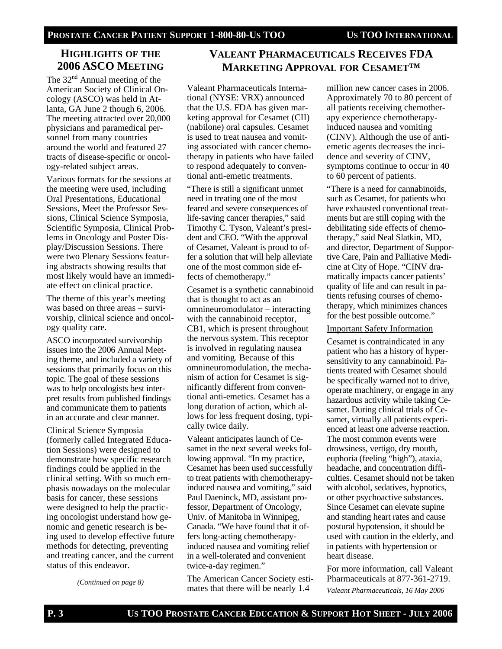## **HIGHLIGHTS OF THE 2006 ASCO MEETING**

The  $32<sup>nd</sup>$  Annual meeting of the American Society of Clinical Oncology (ASCO) was held in Atlanta, GA June 2 though 6, 2006. The meeting attracted over 20,000 physicians and paramedical personnel from many countries around the world and featured 27 tracts of disease-specific or oncology-related subject areas.

Various formats for the sessions at the meeting were used, including Oral Presentations, Educational Sessions, Meet the Professor Sessions, Clinical Science Symposia, Scientific Symposia, Clinical Problems in Oncology and Poster Display/Discussion Sessions. There were two Plenary Sessions featuring abstracts showing results that most likely would have an immediate effect on clinical practice.

The theme of this year's meeting was based on three areas – survivorship, clinical science and oncology quality care.

ASCO incorporated survivorship issues into the 2006 Annual Meeting theme, and included a variety of sessions that primarily focus on this topic. The goal of these sessions was to help oncologists best interpret results from published findings and communicate them to patients in an accurate and clear manner.

Clinical Science Symposia (formerly called Integrated Education Sessions) were designed to demonstrate how specific research findings could be applied in the clinical setting. With so much emphasis nowadays on the molecular basis for cancer, these sessions were designed to help the practicing oncologist understand how genomic and genetic research is being used to develop effective future methods for detecting, preventing and treating cancer, and the current status of this endeavor.

*(Continued on page 8)* 

# **VALEANT PHARMACEUTICALS RECEIVES FDA MARKETING APPROVAL FOR CESAMET™**

Valeant Pharmaceuticals International (NYSE: VRX) announced that the U.S. FDA has given marketing approval for Cesamet (CII) (nabilone) oral capsules. Cesamet is used to treat nausea and vomiting associated with cancer chemotherapy in patients who have failed to respond adequately to conventional anti-emetic treatments.

"There is still a significant unmet need in treating one of the most feared and severe consequences of life-saving cancer therapies," said Timothy C. Tyson, Valeant's president and CEO. "With the approval of Cesamet, Valeant is proud to offer a solution that will help alleviate one of the most common side effects of chemotherapy."

Cesamet is a synthetic cannabinoid that is thought to act as an omnineuromodulator – interacting with the cannabinoid receptor, CB1, which is present throughout the nervous system. This receptor is involved in regulating nausea and vomiting. Because of this omnineuromodulation, the mechanism of action for Cesamet is significantly different from conventional anti-emetics. Cesamet has a long duration of action, which allows for less frequent dosing, typically twice daily.

Valeant anticipates launch of Cesamet in the next several weeks following approval. "In my practice, Cesamet has been used successfully to treat patients with chemotherapyinduced nausea and vomiting," said Paul Daeninck, MD, assistant professor, Department of Oncology, Univ. of Manitoba in Winnipeg, Canada. "We have found that it offers long-acting chemotherapyinduced nausea and vomiting relief in a well-tolerated and convenient twice-a-day regimen."

The American Cancer Society estimates that there will be nearly 1.4

million new cancer cases in 2006. Approximately 70 to 80 percent of all patients receiving chemotherapy experience chemotherapyinduced nausea and vomiting (CINV). Although the use of antiemetic agents decreases the incidence and severity of CINV, symptoms continue to occur in 40 to 60 percent of patients.

"There is a need for cannabinoids, such as Cesamet, for patients who have exhausted conventional treatments but are still coping with the debilitating side effects of chemotherapy," said Neal Slatkin, MD, and director, Department of Supportive Care, Pain and Palliative Medicine at City of Hope. "CINV dramatically impacts cancer patients' quality of life and can result in patients refusing courses of chemotherapy, which minimizes chances for the best possible outcome."

#### Important Safety Information

Cesamet is contraindicated in any patient who has a history of hypersensitivity to any cannabinoid. Patients treated with Cesamet should be specifically warned not to drive, operate machinery, or engage in any hazardous activity while taking Cesamet. During clinical trials of Cesamet, virtually all patients experienced at least one adverse reaction. The most common events were drowsiness, vertigo, dry mouth, euphoria (feeling "high"), ataxia, headache, and concentration difficulties. Cesamet should not be taken with alcohol, sedatives, hypnotics, or other psychoactive substances. Since Cesamet can elevate supine and standing heart rates and cause postural hypotension, it should be used with caution in the elderly, and in patients with hypertension or heart disease.

For more information, call Valeant Pharmaceuticals at 877-361-2719. *Valeant Pharmaceuticals, 16 May 2006*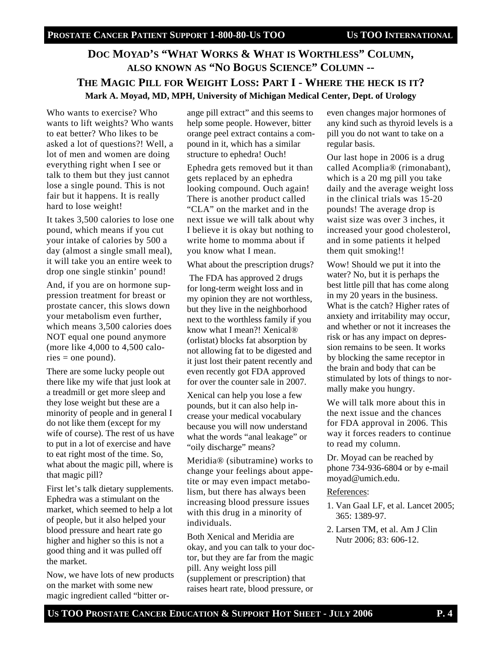# **DOC MOYAD'S "WHAT WORKS & WHAT IS WORTHLESS" COLUMN, ALSO KNOWN AS "NO BOGUS SCIENCE" COLUMN -- THE MAGIC PILL FOR WEIGHT LOSS: PART I - WHERE THE HECK IS IT? Mark A. Moyad, MD, MPH, University of Michigan Medical Center, Dept. of Urology**

Who wants to exercise? Who wants to lift weights? Who wants to eat better? Who likes to be asked a lot of questions?! Well, a lot of men and women are doing everything right when I see or talk to them but they just cannot lose a single pound. This is not fair but it happens. It is really hard to lose weight!

It takes 3,500 calories to lose one pound, which means if you cut your intake of calories by 500 a day (almost a single small meal), it will take you an entire week to drop one single stinkin' pound!

And, if you are on hormone suppression treatment for breast or prostate cancer, this slows down your metabolism even further, which means 3,500 calories does NOT equal one pound anymore (more like 4,000 to 4,500 calo $ries = one pound$ .

There are some lucky people out there like my wife that just look at a treadmill or get more sleep and they lose weight but these are a minority of people and in general I do not like them (except for my wife of course). The rest of us have to put in a lot of exercise and have to eat right most of the time. So, what about the magic pill, where is that magic pill?

First let's talk dietary supplements. Ephedra was a stimulant on the market, which seemed to help a lot of people, but it also helped your blood pressure and heart rate go higher and higher so this is not a good thing and it was pulled off the market.

Now, we have lots of new products on the market with some new magic ingredient called "bitter orange pill extract" and this seems to help some people. However, bitter orange peel extract contains a compound in it, which has a similar structure to ephedra! Ouch!

Ephedra gets removed but it than gets replaced by an ephedra looking compound. Ouch again! There is another product called "CLA" on the market and in the next issue we will talk about why I believe it is okay but nothing to write home to momma about if you know what I mean.

What about the prescription drugs?

 The FDA has approved 2 drugs for long-term weight loss and in my opinion they are not worthless, but they live in the neighborhood next to the worthless family if you know what I mean?! Xenical® (orlistat) blocks fat absorption by not allowing fat to be digested and it just lost their patent recently and even recently got FDA approved for over the counter sale in 2007.

Xenical can help you lose a few pounds, but it can also help increase your medical vocabulary because you will now understand what the words "anal leakage" or "oily discharge" means?

Meridia® (sibutramine) works to change your feelings about appetite or may even impact metabolism, but there has always been increasing blood pressure issues with this drug in a minority of individuals.

Both Xenical and Meridia are okay, and you can talk to your doctor, but they are far from the magic pill. Any weight loss pill (supplement or prescription) that raises heart rate, blood pressure, or

even changes major hormones of any kind such as thyroid levels is a pill you do not want to take on a regular basis.

Our last hope in 2006 is a drug called Acomplia® (rimonabant), which is a 20 mg pill you take daily and the average weight loss in the clinical trials was 15-20 pounds! The average drop is waist size was over 3 inches, it increased your good cholesterol, and in some patients it helped them quit smoking!!

Wow! Should we put it into the water? No, but it is perhaps the best little pill that has come along in my 20 years in the business. What is the catch? Higher rates of anxiety and irritability may occur, and whether or not it increases the risk or has any impact on depression remains to be seen. It works by blocking the same receptor in the brain and body that can be stimulated by lots of things to normally make you hungry.

We will talk more about this in the next issue and the chances for FDA approval in 2006. This way it forces readers to continue to read my column.

Dr. Moyad can be reached by phone 734-936-6804 or by e-mail moyad@umich.edu.

#### References:

- 1. Van Gaal LF, et al. Lancet 2005; 365: 1389-97.
- 2. Larsen TM, et al. Am J Clin Nutr 2006; 83: 606-12.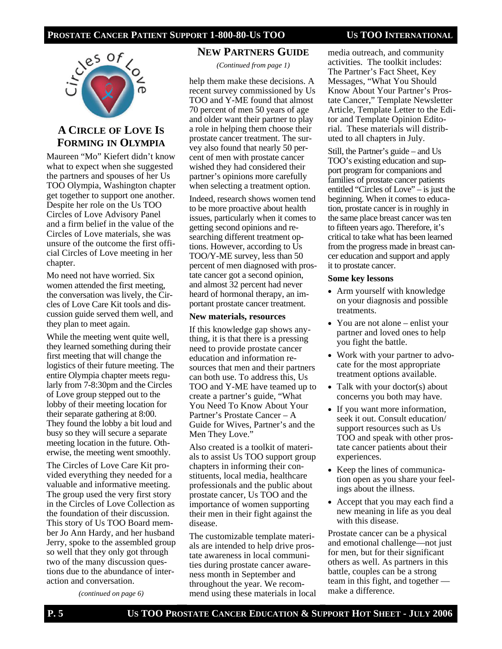#### **PROSTATE CANCER PATIENT SUPPORT 1-800-80-US TOO US TOO INTERNATIONAL**



## **A CIRCLE OF LOVE IS FORMING IN OLYMPIA**

Maureen "Mo" Kiefert didn't know what to expect when she suggested the partners and spouses of her Us TOO Olympia, Washington chapter get together to support one another. Despite her role on the Us TOO Circles of Love Advisory Panel and a firm belief in the value of the Circles of Love materials, she was unsure of the outcome the first official Circles of Love meeting in her chapter.

Mo need not have worried. Six women attended the first meeting, the conversation was lively, the Circles of Love Care Kit tools and discussion guide served them well, and they plan to meet again.

While the meeting went quite well, they learned something during their first meeting that will change the logistics of their future meeting. The entire Olympia chapter meets regularly from 7-8:30pm and the Circles of Love group stepped out to the lobby of their meeting location for their separate gathering at 8:00. They found the lobby a bit loud and busy so they will secure a separate meeting location in the future. Otherwise, the meeting went smoothly.

The Circles of Love Care Kit provided everything they needed for a valuable and informative meeting. The group used the very first story in the Circles of Love Collection as the foundation of their discussion. This story of Us TOO Board member Jo Ann Hardy, and her husband Jerry, spoke to the assembled group so well that they only got through two of the many discussion questions due to the abundance of interaction and conversation.

*(continued on page 6)*

# **NEW PARTNERS GUIDE**

*(Continued from page 1)* 

help them make these decisions. A recent survey commissioned by Us TOO and Y-ME found that almost 70 percent of men 50 years of age and older want their partner to play a role in helping them choose their prostate cancer treatment. The survey also found that nearly 50 percent of men with prostate cancer wished they had considered their partner's opinions more carefully when selecting a treatment option.

Indeed, research shows women tend to be more proactive about health issues, particularly when it comes to getting second opinions and researching different treatment options. However, according to Us TOO/Y-ME survey, less than 50 percent of men diagnosed with prostate cancer got a second opinion, and almost 32 percent had never heard of hormonal therapy, an important prostate cancer treatment.

#### **New materials, resources**

If this knowledge gap shows anything, it is that there is a pressing need to provide prostate cancer education and information resources that men and their partners can both use. To address this, Us TOO and Y-ME have teamed up to create a partner's guide, "What You Need To Know About Your Partner's Prostate Cancer – A Guide for Wives, Partner's and the Men They Love."

Also created is a toolkit of materials to assist Us TOO support group chapters in informing their constituents, local media, healthcare professionals and the public about prostate cancer, Us TOO and the importance of women supporting their men in their fight against the disease.

The customizable template materials are intended to help drive prostate awareness in local communities during prostate cancer awareness month in September and throughout the year. We recommend using these materials in local media outreach, and community activities. The toolkit includes: The Partner's Fact Sheet, Key Messages, "What You Should Know About Your Partner's Prostate Cancer," Template Newsletter Article, Template Letter to the Editor and Template Opinion Editorial. These materials will distributed to all chapters in July.

Still, the Partner's guide – and Us TOO's existing education and support program for companions and families of prostate cancer patients entitled "Circles of Love" – is just the beginning. When it comes to education, prostate cancer is in roughly in the same place breast cancer was ten to fifteen years ago. Therefore, it's critical to take what has been learned from the progress made in breast cancer education and support and apply it to prostate cancer.

#### **Some key lessons**

- Arm yourself with knowledge on your diagnosis and possible treatments.
- You are not alone enlist your partner and loved ones to help you fight the battle.
- Work with your partner to advocate for the most appropriate treatment options available.
- Talk with your doctor(s) about concerns you both may have.
- If you want more information, seek it out. Consult education/ support resources such as Us TOO and speak with other prostate cancer patients about their experiences.
- Keep the lines of communication open as you share your feelings about the illness.
- Accept that you may each find a new meaning in life as you deal with this disease.

Prostate cancer can be a physical and emotional challenge—not just for men, but for their significant others as well. As partners in this battle, couples can be a strong team in this fight, and together make a difference.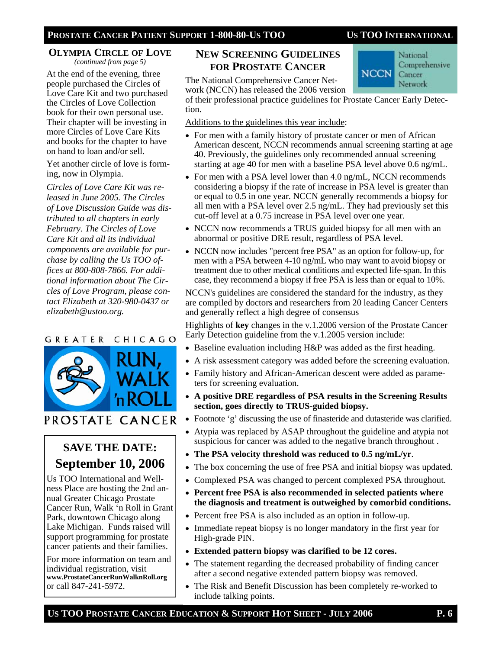#### **OLYMPIA CIRCLE OF LOVE** *(continued from page 5)*

At the end of the evening, three people purchased the Circles of Love Care Kit and two purchased the Circles of Love Collection book for their own personal use. Their chapter will be investing in more Circles of Love Care Kits and books for the chapter to have on hand to loan and/or sell.

Yet another circle of love is forming, now in Olympia.

*Circles of Love Care Kit was released in June 2005. The Circles of Love Discussion Guide was distributed to all chapters in early February. The Circles of Love Care Kit and all its individual components are available for purchase by calling the Us TOO offices at 800-808-7866. For additional information about The Circles of Love Program, please contact Elizabeth at 320-980-0437 or elizabeth@ustoo.org.* 

#### GREATER CHICAGO



# PROSTATE CANCER

# **SAVE THE DATE: September 10, 2006**

Us TOO International and Wellness Place are hosting the 2nd annual Greater Chicago Prostate Cancer Run, Walk 'n Roll in Grant Park, downtown Chicago along Lake Michigan. Funds raised will support programming for prostate cancer patients and their families.

For more information on team and individual registration, visit **www.ProstateCancerRunWalknRoll.org**  or call 847-241-5972.

## **NEW SCREENING GUIDELINES FOR PROSTATE CANCER**



The National Comprehensive Cancer Network (NCCN) has released the 2006 version

of their professional practice guidelines for Prostate Cancer Early Detection.

#### Additions to the guidelines this year include:

- For men with a family history of prostate cancer or men of African American descent, NCCN recommends annual screening starting at age 40. Previously, the guidelines only recommended annual screening starting at age 40 for men with a baseline PSA level above 0.6 ng/mL.
- For men with a PSA level lower than 4.0 ng/mL, NCCN recommends considering a biopsy if the rate of increase in PSA level is greater than or equal to 0.5 in one year. NCCN generally recommends a biopsy for all men with a PSA level over 2.5 ng/mL. They had previously set this cut-off level at a 0.75 increase in PSA level over one year.
- NCCN now recommends a TRUS guided biopsy for all men with an abnormal or positive DRE result, regardless of PSA level.
- NCCN now includes "percent free PSA" as an option for follow-up, for men with a PSA between 4-10 ng/mL who may want to avoid biopsy or treatment due to other medical conditions and expected life-span. In this case, they recommend a biopsy if free PSA is less than or equal to 10%.

NCCN's guidelines are considered the standard for the industry, as they are compiled by doctors and researchers from 20 leading Cancer Centers and generally reflect a high degree of consensus

Highlights of **key** changes in the v.1.2006 version of the Prostate Cancer Early Detection guideline from the v.1.2005 version include:

- Baseline evaluation including H&P was added as the first heading.
- A risk assessment category was added before the screening evaluation.
- Family history and African-American descent were added as parameters for screening evaluation.
- **A positive DRE regardless of PSA results in the Screening Results section, goes directly to TRUS-guided biopsy.**
- Footnote 'g' discussing the use of finasteride and dutasteride was clarified.
- Atypia was replaced by ASAP throughout the guideline and atypia not suspicious for cancer was added to the negative branch throughout .
- **The PSA velocity threshold was reduced to 0.5 ng/mL/yr**.
- The box concerning the use of free PSA and initial biopsy was updated.
- Complexed PSA was changed to percent complexed PSA throughout.
- **Percent free PSA is also recommended in selected patients where the diagnosis and treatment is outweighed by comorbid conditions.**
- Percent free PSA is also included as an option in follow-up.
- Immediate repeat biopsy is no longer mandatory in the first year for High-grade PIN.
- **Extended pattern biopsy was clarified to be 12 cores.**
- The statement regarding the decreased probability of finding cancer after a second negative extended pattern biopsy was removed.
- The Risk and Benefit Discussion has been completely re-worked to include talking points.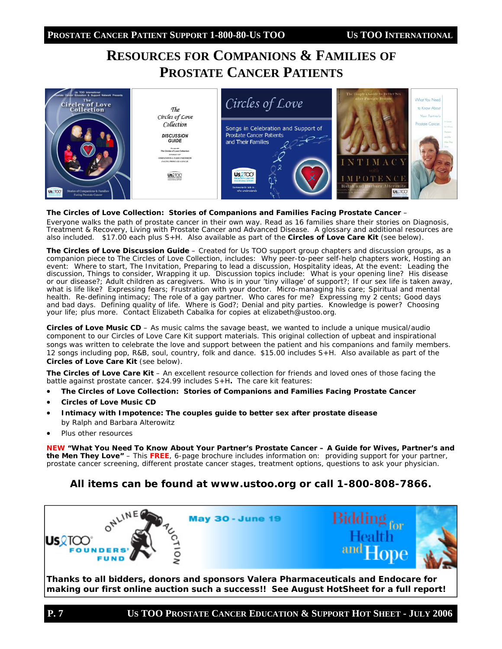# **RESOURCES FOR COMPANIONS & FAMILIES OF PROSTATE CANCER PATIENTS**



#### *The Circles of Love Collection: Stories of Companions and Families Facing Prostate Cancer –*

Everyone walks the path of prostate cancer in their own way. Read as 16 families share their stories on Diagnosis, Treatment & Recovery, Living with Prostate Cancer and Advanced Disease. A glossary and additional resources are also included. \$17.00 each plus S+H. Also available as part of the *Circles of Love Care Kit* (see below).

*The Circles of Love Discussion Guide –* Created for Us TOO support group chapters and discussion groups, as a companion piece to *The Circles of Love Collection*, includes: Why peer-to-peer self-help chapters work, Hosting an event: Where to start, The Invitation, Preparing to lead a discussion, Hospitality ideas, At the event: Leading the discussion, Things to consider, Wrapping it up. Discussion topics include: What is your opening line? His disease or our disease?; Adult children as caregivers. Who is in your 'tiny village' of support?; If our sex life is taken away, what is life like? Expressing fears; Frustration with your doctor. Micro-managing his care; Spiritual and mental health. Re-defining intimacy; The role of a gay partner. Who cares for me? Expressing my 2 cents; Good days and bad days. Defining quality of life. Where is God?; Denial and pity parties. Knowledge is power? Choosing your life; plus more. Contact Elizabeth Cabalka for copies at elizabeth@ustoo.org.

*Circles of Love* **Music CD** *–* As music calms the savage beast, we wanted to include a unique musical/audio component to our Circles of Love Care Kit support materials. This original collection of upbeat and inspirational songs was written to celebrate the love and support between the patient and his companions and family members. 12 songs including pop, R&B, soul, country, folk and dance. \$15.00 includes S+H. Also available as part of the *Circles of Love Care Kit* (see below).

*The Circles of Love Care Kit* – An excellent resource collection for friends and loved ones of those facing the battle against prostate cancer. \$24.99 includes S+H*.* The care kit features:

- *The Circles of Love Collection: Stories of Companions and Families Facing Prostate Cancer*
- *Circles of Love* **Music CD**
- *Intimacy with Impotence: The couples guide to better sex after prostate disease* by Ralph and Barbara Alterowitz
- Plus other resources

**NEW** *"What You Need To Know About Your Partner's Prostate Cancer – A Guide for Wives, Partner's and the Men They Love"* – This **FREE**, 6-page brochure includes information on: providing support for your partner, prostate cancer screening, different prostate cancer stages, treatment options, questions to ask your physician.

#### **All items can be found at www.ustoo.org or call 1-800-808-7866.**